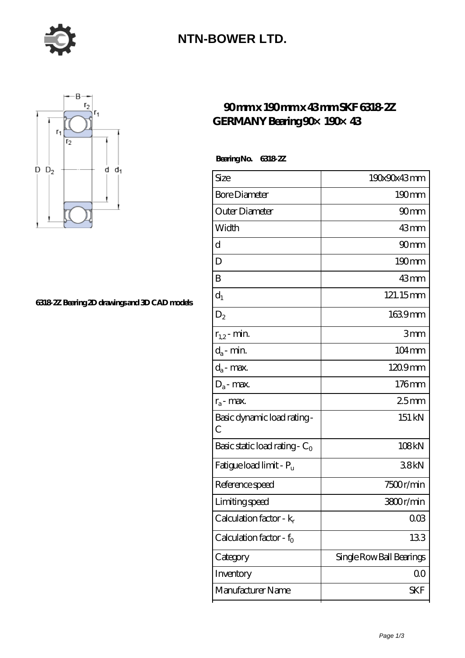

### **[NTN-BOWER LTD.](https://m.moreymansion.com)**



#### **[6318-2Z Bearing 2D drawings and 3D CAD models](https://m.moreymansion.com/pic-305083.html)**

### **[90 mm x 190 mm x 43 mm SKF 6318-2Z](https://m.moreymansion.com/at-305083-skf-6318-2z-germany-bearing-90-190-43.html) [GERMANY Bearing 90×190×43](https://m.moreymansion.com/at-305083-skf-6318-2z-germany-bearing-90-190-43.html)**

 **Bearing No. 6318-2Z**

| Size                                | 190x90x43mm              |
|-------------------------------------|--------------------------|
| <b>Bore Diameter</b>                | $190 \text{mm}$          |
| Outer Diameter                      | 90 <sub>mm</sub>         |
| Width                               | $43$ mm                  |
| d                                   | 90mm                     |
| D                                   | 190mm                    |
| B                                   | 43mm                     |
| $d_1$                               | 121.15mm                 |
| $\mathrm{D}_2$                      | 1639mm                   |
| $r_{1,2}$ - min.                    | 3mm                      |
| $d_a$ - min.                        | 104mm                    |
| $d_a$ - max.                        | 1209mm                   |
| $D_a$ - max.                        | 176mm                    |
| $r_a$ - max.                        | 25mm                     |
| Basic dynamic load rating-<br>С     | 151 kN                   |
| Basic static load rating - $C_0$    | 108kN                    |
| Fatigue load limit - P <sub>u</sub> | 38kN                     |
| Reference speed                     | 7500r/min                |
| Limiting speed                      | 3800r/min                |
| Calculation factor - $k_r$          | $00\%$                   |
| Calculation factor - $f_0$          | 133                      |
| Category                            | Single Row Ball Bearings |
| Inventory                           | QO                       |
| Manufacturer Name                   | SKF                      |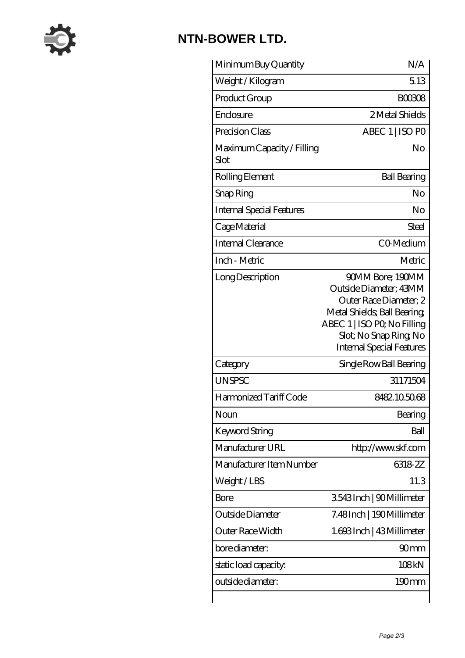

# **[NTN-BOWER LTD.](https://m.moreymansion.com)**

| Minimum Buy Quantity               | N/A                                                                                                                                                                                              |
|------------------------------------|--------------------------------------------------------------------------------------------------------------------------------------------------------------------------------------------------|
| Weight / Kilogram                  | 5.13                                                                                                                                                                                             |
| Product Group                      | <b>BOO308</b>                                                                                                                                                                                    |
| Enclosure                          | 2 Metal Shields                                                                                                                                                                                  |
| Precision Class                    | ABEC 1   ISO PO                                                                                                                                                                                  |
| Maximum Capacity / Filling<br>Slot | No                                                                                                                                                                                               |
| Rolling Element                    | <b>Ball Bearing</b>                                                                                                                                                                              |
| Snap Ring                          | No                                                                                                                                                                                               |
| <b>Internal Special Features</b>   | No                                                                                                                                                                                               |
| Cage Material                      | Steel                                                                                                                                                                                            |
| Internal Clearance                 | CO-Medium                                                                                                                                                                                        |
| Inch - Metric                      | Metric                                                                                                                                                                                           |
| Long Description                   | 90MM Bore; 190MM<br>Outside Diameter; 43MM<br>Outer Race Diameter; 2<br>Metal Shields; Ball Bearing;<br>ABEC 1   ISO PO, No Filling<br>Slot; No Snap Ring No<br><b>Internal Special Features</b> |
| Category                           | Single Row Ball Bearing                                                                                                                                                                          |
| <b>UNSPSC</b>                      | 31171504                                                                                                                                                                                         |
| Harmonized Tariff Code             | 8482105068                                                                                                                                                                                       |
| Noun                               | Bearing                                                                                                                                                                                          |
| <b>Keyword String</b>              | Ball                                                                                                                                                                                             |
| Manufacturer URL                   | http://www.skf.com                                                                                                                                                                               |
| Manufacturer Item Number           | 6318-2Z                                                                                                                                                                                          |
| Weight/LBS                         | 11.3                                                                                                                                                                                             |
| Bore                               | 3543Inch   90Millimeter                                                                                                                                                                          |
| Outside Diameter                   | 7.48Inch   190Millimeter                                                                                                                                                                         |
| Outer Race Width                   | 1.693Inch   43Millimeter                                                                                                                                                                         |
| bore diameter:                     | 90 <sub>mm</sub>                                                                                                                                                                                 |
|                                    |                                                                                                                                                                                                  |
| static load capacity.              | 108kN                                                                                                                                                                                            |